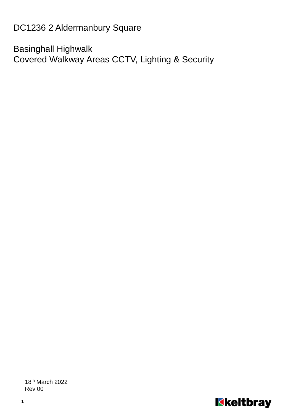DC1236 2 Aldermanbury Square

Basinghall Highwalk Covered Walkway Areas CCTV, Lighting & Security

18th March 2022 Rev 00

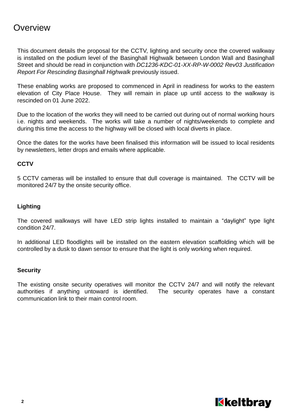### **Overview**

This document details the proposal for the CCTV, lighting and security once the covered walkway is installed on the podium level of the Basinghall Highwalk between London Wall and Basinghall Street and should be read in conjunction with *DC1236-KDC-01-XX-RP-W-0002 Rev03 Justification Report For Rescinding Basinghall Highwalk* previously issued.

These enabling works are proposed to commenced in April in readiness for works to the eastern elevation of City Place House. They will remain in place up until access to the walkway is rescinded on 01 June 2022.

Due to the location of the works they will need to be carried out during out of normal working hours i.e. nights and weekends. The works will take a number of nights/weekends to complete and during this time the access to the highway will be closed with local diverts in place.

Once the dates for the works have been finalised this information will be issued to local residents by newsletters, letter drops and emails where applicable.

#### **CCTV**

5 CCTV cameras will be installed to ensure that dull coverage is maintained. The CCTV will be monitored 24/7 by the onsite security office.

#### **Lighting**

The covered walkways will have LED strip lights installed to maintain a "daylight" type light condition 24/7.

In additional LED floodlights will be installed on the eastern elevation scaffolding which will be controlled by a dusk to dawn sensor to ensure that the light is only working when required.

#### **Security**

The existing onsite security operatives will monitor the CCTV 24/7 and will notify the relevant authorities if anything untoward is identified. The security operates have a constant communication link to their main control room.

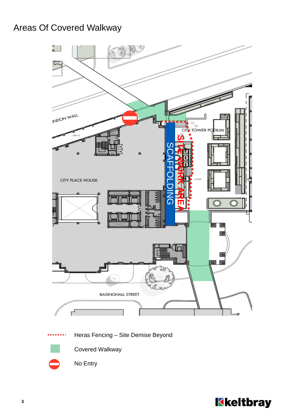## Areas Of Covered Walkway





Covered Walkway

No Entry

Kkeltbray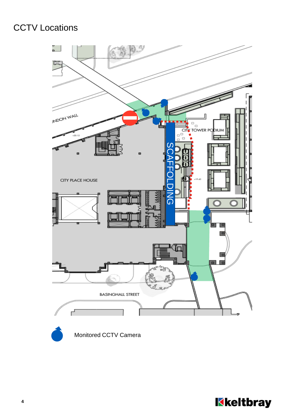# CCTV Locations





Monitored CCTV Camera